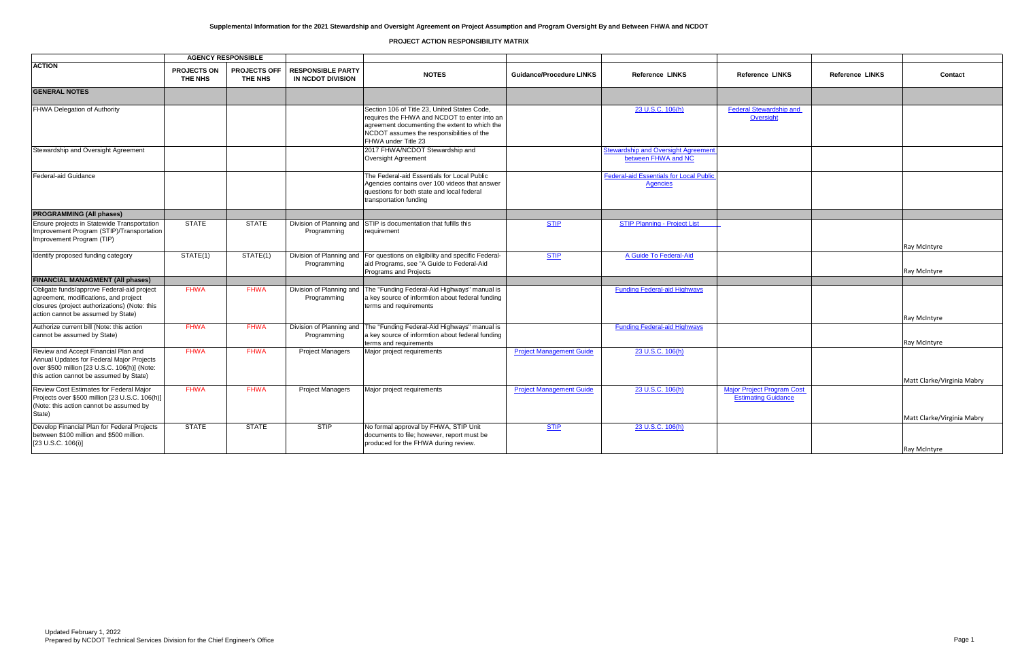|                                                                                                                                                                              |                               | <b>AGENCY RESPONSIBLE</b>      |                                               |                                                                                                                                                                                                                   |                                 |                                                                   |                                                                 |                        |                      |
|------------------------------------------------------------------------------------------------------------------------------------------------------------------------------|-------------------------------|--------------------------------|-----------------------------------------------|-------------------------------------------------------------------------------------------------------------------------------------------------------------------------------------------------------------------|---------------------------------|-------------------------------------------------------------------|-----------------------------------------------------------------|------------------------|----------------------|
| <b>ACTION</b>                                                                                                                                                                | <b>PROJECTS ON</b><br>THE NHS | <b>PROJECTS OFF</b><br>THE NHS | <b>RESPONSIBLE PARTY</b><br>IN NCDOT DIVISION | <b>NOTES</b>                                                                                                                                                                                                      | <b>Guidance/Procedure LINKS</b> | <b>Reference LINKS</b>                                            | <b>Reference LINKS</b>                                          | <b>Reference LINKS</b> | Contact              |
| <b>GENERAL NOTES</b>                                                                                                                                                         |                               |                                |                                               |                                                                                                                                                                                                                   |                                 |                                                                   |                                                                 |                        |                      |
| FHWA Delegation of Authority                                                                                                                                                 |                               |                                |                                               | Section 106 of Title 23, United States Code,<br>requires the FHWA and NCDOT to enter into an<br>agreement documenting the extent to which the<br>NCDOT assumes the responsibilities of the<br>FHWA under Title 23 |                                 | 23 U.S.C. 106(h)                                                  | <b>Federal Stewardship and</b><br>Oversight                     |                        |                      |
| Stewardship and Oversight Agreement                                                                                                                                          |                               |                                |                                               | 2017 FHWA/NCDOT Stewardship and<br>Oversight Agreement                                                                                                                                                            |                                 | <b>Stewardship and Oversight Agreement</b><br>between FHWA and NC |                                                                 |                        |                      |
| <b>Federal-aid Guidance</b>                                                                                                                                                  |                               |                                |                                               | The Federal-aid Essentials for Local Public<br>Agencies contains over 100 videos that answer<br>questions for both state and local federal<br>transportation funding                                              |                                 | <b>Federal-aid Essentials for Local Public</b><br><b>Agencies</b> |                                                                 |                        |                      |
| <b>PROGRAMMING (All phases)</b>                                                                                                                                              |                               |                                |                                               |                                                                                                                                                                                                                   |                                 |                                                                   |                                                                 |                        |                      |
| Ensure projects in Statewide Transportation<br>Improvement Program (STIP)/Transportation<br>Improvement Program (TIP)                                                        | <b>STATE</b>                  | <b>STATE</b>                   | Division of Planning and<br>Programming       | STIP is documentation that fufills this<br>requirement                                                                                                                                                            | <b>STIP</b>                     | <b>STIP Planning - Project List</b>                               |                                                                 |                        | Ray McIntyre         |
| Identify proposed funding category                                                                                                                                           | STATE(1)                      | STATE(1)                       | Division of Planning and<br>Programming       | For questions on eligibility and specific Federal-<br>aid Programs, see "A Guide to Federal-Aid<br>Programs and Projects                                                                                          | <b>STIP</b>                     | A Guide To Federal-Aid                                            |                                                                 |                        | <b>Ray McIntyre</b>  |
| <b>FINANCIAL MANAGMENT (All phases)</b>                                                                                                                                      |                               |                                |                                               |                                                                                                                                                                                                                   |                                 |                                                                   |                                                                 |                        |                      |
| Obligate funds/approve Federal-aid project<br>agreement, modifications, and project<br>closures (project authorizations) (Note: this<br>action cannot be assumed by State)   | <b>FHWA</b>                   | <b>FHWA</b>                    | Division of Planning and<br>Programming       | The "Funding Federal-Aid Highways" manual is<br>a key source of informtion about federal funding<br>terms and requirements                                                                                        |                                 | <b>Funding Federal-aid Highways</b>                               |                                                                 |                        | Ray McIntyre         |
| Authorize current bill (Note: this action<br>cannot be assumed by State)                                                                                                     | <b>FHWA</b>                   | <b>FHWA</b>                    | Division of Planning and<br>Programming       | The "Funding Federal-Aid Highways" manual is<br>a key source of informtion about federal funding<br>terms and requirements                                                                                        |                                 | <b>Funding Federal-aid Highways</b>                               |                                                                 |                        | <b>Ray McIntyre</b>  |
| Review and Accept Financial Plan and<br>Annual Updates for Federal Major Projects<br>over \$500 million [23 U.S.C. 106(h)] (Note:<br>this action cannot be assumed by State) | <b>FHWA</b>                   | <b>FHWA</b>                    | <b>Project Managers</b>                       | Major project requirements                                                                                                                                                                                        | <b>Project Management Guide</b> | 23 U.S.C. 106(h)                                                  |                                                                 |                        | Matt Clarke/Virginia |
| Review Cost Estimates for Federal Major<br>Projects over \$500 million [23 U.S.C. 106(h)]<br>(Note: this action cannot be assumed by<br>State)                               | <b>FHWA</b>                   | <b>FHWA</b>                    | <b>Project Managers</b>                       | Major project requirements                                                                                                                                                                                        | <b>Project Management Guide</b> | 23 U.S.C. 106(h)                                                  | <b>Major Project Program Cost</b><br><b>Estimating Guidance</b> |                        | Matt Clarke/Virginia |
| Develop Financial Plan for Federal Projects<br>between \$100 million and \$500 million.<br>[23 U.S.C. 106(i)]                                                                | <b>STATE</b>                  | <b>STATE</b>                   | STIP                                          | No formal approval by FHWA, STIP Unit<br>documents to file; however, report must be<br>produced for the FHWA during review.                                                                                       | <b>STIP</b>                     | 23 U.S.C. 106(h)                                                  |                                                                 |                        | <b>Ray McIntyre</b>  |

| Reference LINKS                                       | Reference LINKS | Contact                    |
|-------------------------------------------------------|-----------------|----------------------------|
|                                                       |                 |                            |
| deral Stewardship and<br>Oversight                    |                 |                            |
|                                                       |                 |                            |
|                                                       |                 |                            |
|                                                       |                 |                            |
|                                                       |                 |                            |
|                                                       |                 | Ray McIntyre               |
|                                                       |                 | Ray McIntyre               |
|                                                       |                 |                            |
|                                                       |                 |                            |
|                                                       |                 | Ray McIntyre               |
|                                                       |                 | Ray McIntyre               |
|                                                       |                 |                            |
|                                                       |                 | Matt Clarke/Virginia Mabry |
| or Project Program Cost<br><b>Estimating Guidance</b> |                 |                            |
|                                                       |                 | Matt Clarke/Virginia Mabry |
|                                                       |                 |                            |
|                                                       |                 | Ray McIntyre               |

## **PROJECT ACTION RESPONSIBILITY MATRIX**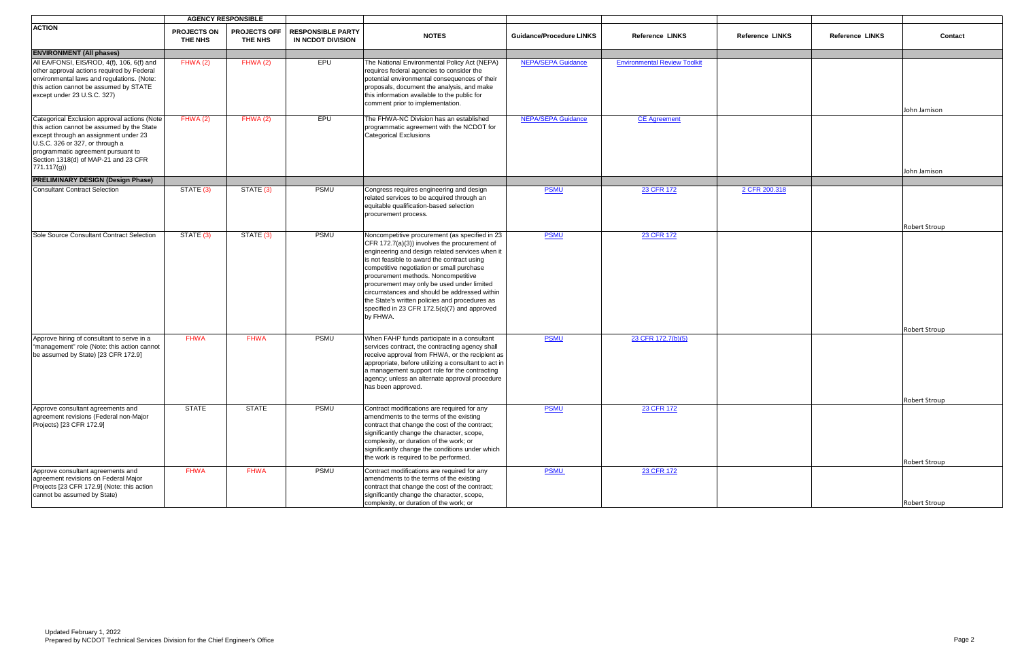|                                                                                                                                                                                                                                                                     | <b>AGENCY RESPONSIBLE</b>     |                                       |                                               |                                                                                                                                                                                                                                                                                                                                                                                                                                                                                                  |                                 |                                     |                        |                        |               |
|---------------------------------------------------------------------------------------------------------------------------------------------------------------------------------------------------------------------------------------------------------------------|-------------------------------|---------------------------------------|-----------------------------------------------|--------------------------------------------------------------------------------------------------------------------------------------------------------------------------------------------------------------------------------------------------------------------------------------------------------------------------------------------------------------------------------------------------------------------------------------------------------------------------------------------------|---------------------------------|-------------------------------------|------------------------|------------------------|---------------|
| <b>ACTION</b>                                                                                                                                                                                                                                                       | <b>PROJECTS ON</b><br>THE NHS | <b>PROJECTS OFF</b><br><b>THE NHS</b> | <b>RESPONSIBLE PARTY</b><br>IN NCDOT DIVISION | <b>NOTES</b>                                                                                                                                                                                                                                                                                                                                                                                                                                                                                     | <b>Guidance/Procedure LINKS</b> | <b>Reference LINKS</b>              | <b>Reference LINKS</b> | <b>Reference LINKS</b> | Contact       |
| <b>ENVIRONMENT (All phases)</b>                                                                                                                                                                                                                                     |                               |                                       |                                               |                                                                                                                                                                                                                                                                                                                                                                                                                                                                                                  |                                 |                                     |                        |                        |               |
| All EA/FONSI, EIS/ROD, 4(f), 106, 6(f) and<br>other approval actions required by Federal<br>environmental laws and regulations. (Note:<br>this action cannot be assumed by STATE<br>except under 23 U.S.C. 327)                                                     | FHWA(2)                       | FHWA(2)                               | EPU                                           | The National Environmental Policy Act (NEPA)<br>requires federal agencies to consider the<br>potential environmental consequences of their<br>proposals, document the analysis, and make<br>this information available to the public for<br>comment prior to implementation.                                                                                                                                                                                                                     | <b>NEPA/SEPA Guidance</b>       | <b>Environmental Review Toolkit</b> |                        |                        | John Jamison  |
| Categorical Exclusion approval actions (Note<br>this action cannot be assumed by the State<br>except through an assignment under 23<br>U.S.C. 326 or 327, or through a<br>programmatic agreement pursuant to<br>Section 1318(d) of MAP-21 and 23 CFR<br>771.117(g)) | FHWA(2)                       | FHWA(2)                               | <b>EPU</b>                                    | The FHWA-NC Division has an established<br>programmatic agreement with the NCDOT for<br><b>Categorical Exclusions</b>                                                                                                                                                                                                                                                                                                                                                                            | <b>NEPA/SEPA Guidance</b>       | <b>CE Agreement</b>                 |                        |                        | John Jamison  |
| <b>PRELIMINARY DESIGN (Design Phase)</b>                                                                                                                                                                                                                            |                               |                                       |                                               |                                                                                                                                                                                                                                                                                                                                                                                                                                                                                                  |                                 |                                     |                        |                        |               |
| <b>Consultant Contract Selection</b>                                                                                                                                                                                                                                | STATE (3)                     | STATE (3)                             | <b>PSMU</b>                                   | Congress requires engineering and design<br>related services to be acquired through an<br>equitable qualification-based selection<br>procurement process.                                                                                                                                                                                                                                                                                                                                        | <b>PSMU</b>                     | 23 CFR 172                          | 2 CFR 200.318          |                        |               |
|                                                                                                                                                                                                                                                                     |                               |                                       |                                               |                                                                                                                                                                                                                                                                                                                                                                                                                                                                                                  |                                 |                                     |                        |                        | Robert Stroup |
| Sole Source Consultant Contract Selection                                                                                                                                                                                                                           | STATE (3)                     | STATE (3)                             | PSMU                                          | Noncompetitive procurement (as specified in 23<br>CFR 172.7(a)(3)) involves the procurement of<br>engineering and design related services when it<br>is not feasible to award the contract using<br>competitive negotiation or small purchase<br>procurement methods. Noncompetitive<br>procurement may only be used under limited<br>circumstances and should be addressed within<br>the State's written policies and procedures as<br>specified in 23 CFR 172.5(c)(7) and approved<br>by FHWA. | <b>PSMU</b>                     | 23 CFR 172                          |                        |                        |               |
| Approve hiring of consultant to serve in a                                                                                                                                                                                                                          | <b>FHWA</b>                   | <b>FHWA</b>                           | <b>PSMU</b>                                   | When FAHP funds participate in a consultant                                                                                                                                                                                                                                                                                                                                                                                                                                                      | <b>PSMU</b>                     | 23 CFR 172.7(b)(5)                  |                        |                        | Robert Stroup |
| "management" role (Note: this action cannot<br>be assumed by State) [23 CFR 172.9]                                                                                                                                                                                  |                               |                                       |                                               | services contract, the contracting agency shall<br>receive approval from FHWA, or the recipient as<br>appropriate, before utilizing a consultant to act in<br>a management support role for the contracting<br>agency; unless an alternate approval procedure<br>has been approved.                                                                                                                                                                                                              |                                 |                                     |                        |                        |               |
|                                                                                                                                                                                                                                                                     |                               |                                       |                                               |                                                                                                                                                                                                                                                                                                                                                                                                                                                                                                  |                                 |                                     |                        |                        | Robert Stroup |
| Approve consultant agreements and<br>agreement revisions (Federal non-Major<br>Projects) [23 CFR 172.9]                                                                                                                                                             | <b>STATE</b>                  | <b>STATE</b>                          | <b>PSMU</b>                                   | Contract modifications are required for any<br>amendments to the terms of the existing<br>contract that change the cost of the contract;<br>significantly change the character, scope,<br>complexity, or duration of the work; or<br>significantly change the conditions under which<br>the work is required to be performed.                                                                                                                                                                    | <b>PSMU</b>                     | 23 CFR 172                          |                        |                        | Robert Stroup |
| Approve consultant agreements and<br>agreement revisions on Federal Major<br>Projects [23 CFR 172.9] (Note: this action<br>cannot be assumed by State)                                                                                                              | <b>FHWA</b>                   | <b>FHWA</b>                           | <b>PSMU</b>                                   | Contract modifications are required for any<br>amendments to the terms of the existing<br>contract that change the cost of the contract;<br>significantly change the character, scope,<br>complexity, or duration of the work; or                                                                                                                                                                                                                                                                | <b>PSMU</b>                     | 23 CFR 172                          |                        |                        | Robert Stroup |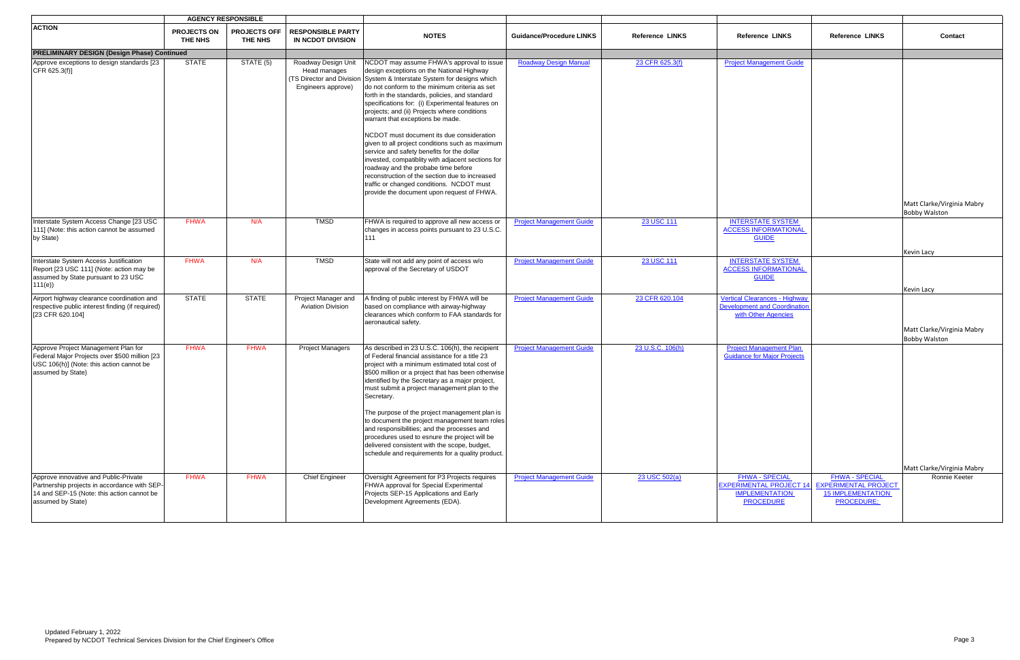|                                                                                                                                                          |                               | <b>AGENCY RESPONSIBLE</b>             |                                                                                        |                                                                                                                                                                                                                                                                                                                                                                                                                                                                                                                                                                                                                                                                                                                                                                          |                                 |                        |                                                                                                      |                                                                                                       |                                                    |
|----------------------------------------------------------------------------------------------------------------------------------------------------------|-------------------------------|---------------------------------------|----------------------------------------------------------------------------------------|--------------------------------------------------------------------------------------------------------------------------------------------------------------------------------------------------------------------------------------------------------------------------------------------------------------------------------------------------------------------------------------------------------------------------------------------------------------------------------------------------------------------------------------------------------------------------------------------------------------------------------------------------------------------------------------------------------------------------------------------------------------------------|---------------------------------|------------------------|------------------------------------------------------------------------------------------------------|-------------------------------------------------------------------------------------------------------|----------------------------------------------------|
| <b>ACTION</b>                                                                                                                                            | <b>PROJECTS ON</b><br>THE NHS | <b>PROJECTS OFF</b><br><b>THE NHS</b> | <b>RESPONSIBLE PARTY</b><br>IN NCDOT DIVISION                                          | <b>NOTES</b>                                                                                                                                                                                                                                                                                                                                                                                                                                                                                                                                                                                                                                                                                                                                                             | <b>Guidance/Procedure LINKS</b> | <b>Reference LINKS</b> | <b>Reference LINKS</b>                                                                               | <b>Reference LINKS</b>                                                                                | Contact                                            |
| <b>PRELIMINARY DESIGN (Design Phase) Continued</b>                                                                                                       |                               |                                       |                                                                                        |                                                                                                                                                                                                                                                                                                                                                                                                                                                                                                                                                                                                                                                                                                                                                                          |                                 |                        |                                                                                                      |                                                                                                       |                                                    |
| Approve exceptions to design standards [23]<br>CFR 625.3(f)]                                                                                             | <b>STATE</b>                  | STATE (5)                             | Roadway Design Unit<br>Head manages<br>(TS Director and Division<br>Engineers approve) | NCDOT may assume FHWA's approval to issue<br>design exceptions on the National Highway<br>System & Interstate System for designs which<br>do not conform to the minimum criteria as set<br>forth in the standards, policies, and standard<br>specifications for: (i) Experimental features on<br>projects; and (ii) Projects where conditions<br>warrant that exceptions be made.<br>NCDOT must document its due consideration<br>given to all project conditions such as maximum<br>service and safety benefits for the dollar<br>invested, compatiblity with adjacent sections for<br>roadway and the probabe time before<br>reconstruction of the section due to increased<br>traffic or changed conditions. NCDOT must<br>provide the document upon request of FHWA. | <b>Roadway Design Manual</b>    | 23 CFR 625.3(f)        | <b>Project Management Guide</b>                                                                      |                                                                                                       |                                                    |
|                                                                                                                                                          |                               |                                       |                                                                                        |                                                                                                                                                                                                                                                                                                                                                                                                                                                                                                                                                                                                                                                                                                                                                                          |                                 |                        |                                                                                                      |                                                                                                       | Matt Clarke/Virginia Mabry<br><b>Bobby Walston</b> |
| Interstate System Access Change [23 USC<br>111] (Note: this action cannot be assumed<br>by State)                                                        | <b>FHWA</b>                   | N/A                                   | <b>TMSD</b>                                                                            | FHWA is required to approve all new access or<br>changes in access points pursuant to 23 U.S.C.<br>111                                                                                                                                                                                                                                                                                                                                                                                                                                                                                                                                                                                                                                                                   | <b>Project Management Guide</b> | 23 USC 111             | <b>INTERSTATE SYSTEM</b><br><b>ACCESS INFORMATIONAL</b><br><b>GUIDE</b>                              |                                                                                                       |                                                    |
| Interstate System Access Justification<br>Report [23 USC 111] (Note: action may be<br>assumed by State pursuant to 23 USC<br>111(e)                      | <b>FHWA</b>                   | N/A                                   | <b>TMSD</b>                                                                            | State will not add any point of access w/o<br>approval of the Secretary of USDOT                                                                                                                                                                                                                                                                                                                                                                                                                                                                                                                                                                                                                                                                                         | <b>Project Management Guide</b> | 23 USC 111             | <b>INTERSTATE SYSTEM</b><br><b>ACCESS INFORMATIONAL</b><br><b>GUIDE</b>                              |                                                                                                       | Kevin Lacy<br>Kevin Lacy                           |
| Airport highway clearance coordination and<br>respective public interest finding (if required)<br>[23 CFR 620.104]                                       | <b>STATE</b>                  | <b>STATE</b>                          | Project Manager and<br><b>Aviation Division</b>                                        | A finding of public interest by FHWA will be<br>based on compliance with airway-highway<br>clearances which conform to FAA standards for<br>aeronautical safety.                                                                                                                                                                                                                                                                                                                                                                                                                                                                                                                                                                                                         | <b>Project Management Guide</b> | 23 CFR 620.104         | <b>Vertical Clearances - Highway</b><br><b>Development and Coordination</b><br>with Other Agencies   |                                                                                                       | Matt Clarke/Virginia Mabry<br><b>Bobby Walston</b> |
| Approve Project Management Plan for<br>Federal Major Projects over \$500 million [23<br>USC 106(h)] (Note: this action cannot be<br>assumed by State)    | <b>FHWA</b>                   | <b>FHWA</b>                           | <b>Project Managers</b>                                                                | As described in 23 U.S.C. 106(h), the recipient<br>of Federal financial assistance for a title 23<br>project with a minimum estimated total cost of<br>\$500 million or a project that has been otherwise<br>identified by the Secretary as a major project,<br>must submit a project management plan to the<br>Secretary.<br>The purpose of the project management plan is<br>to document the project management team roles<br>and responsibilities; and the processes and<br>procedures used to esnure the project will be<br>delivered consistent with the scope, budget,<br>schedule and requirements for a quality product.                                                                                                                                         | <b>Project Management Guide</b> | 23 U.S.C. 106(h)       | <b>Project Management Plan</b><br><b>Guidance for Major Projects</b>                                 |                                                                                                       | Matt Clarke/Virginia Mabry                         |
| Approve innovative and Public-Private<br>Partnership projects in accordance with SEP-<br>14 and SEP-15 (Note: this action cannot be<br>assumed by State) | <b>FHWA</b>                   | <b>FHWA</b>                           | <b>Chief Engineer</b>                                                                  | Oversight Agreement for P3 Projects requires<br>FHWA approval for Special Experimental<br>Projects SEP-15 Applications and Early<br>Development Agreements (EDA).                                                                                                                                                                                                                                                                                                                                                                                                                                                                                                                                                                                                        | <b>Project Management Guide</b> | 23 USC 502(a)          | <b>FHWA - SPECIAL</b><br><b>EXPERIMENTAL PROJECT 14</b><br><b>IMPLEMENTATION</b><br><b>PROCEDURE</b> | <b>FHWA - SPECIAL</b><br><b>EXPERIMENTAL PROJECT</b><br><b>15 IMPLEMENTATION</b><br><b>PROCEDURE:</b> | Ronnie Keeter                                      |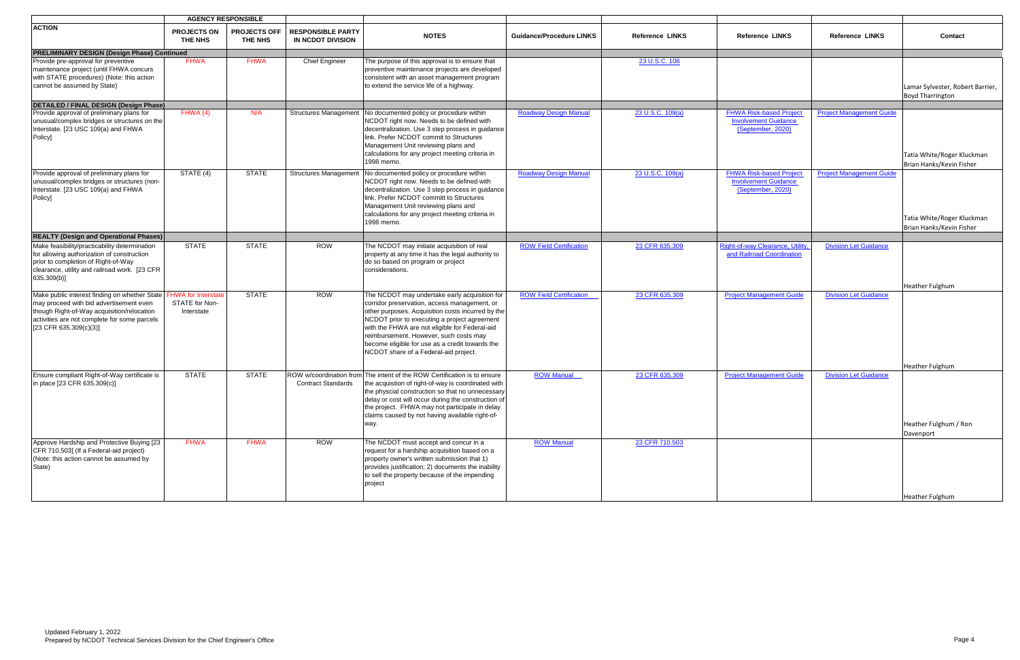|                                                                                                                                                                                                                    | <b>AGENCY RESPONSIBLE</b>                                  |                                |                                               |                                                                                                                                                                                                                                                                                                                                                        |                                 |                        |                                                                                    |                                 |                                                             |
|--------------------------------------------------------------------------------------------------------------------------------------------------------------------------------------------------------------------|------------------------------------------------------------|--------------------------------|-----------------------------------------------|--------------------------------------------------------------------------------------------------------------------------------------------------------------------------------------------------------------------------------------------------------------------------------------------------------------------------------------------------------|---------------------------------|------------------------|------------------------------------------------------------------------------------|---------------------------------|-------------------------------------------------------------|
| <b>ACTION</b>                                                                                                                                                                                                      | <b>PROJECTS ON</b><br>THE NHS                              | <b>PROJECTS OFF</b><br>THE NHS | <b>RESPONSIBLE PARTY</b><br>IN NCDOT DIVISION | <b>NOTES</b>                                                                                                                                                                                                                                                                                                                                           | <b>Guidance/Procedure LINKS</b> | <b>Reference LINKS</b> | <b>Reference LINKS</b>                                                             | <b>Reference LINKS</b>          | Contact                                                     |
| <b>PRELIMINARY DESIGN (Design Phase) Continued</b>                                                                                                                                                                 |                                                            |                                |                                               |                                                                                                                                                                                                                                                                                                                                                        |                                 |                        |                                                                                    |                                 |                                                             |
| Provide pre-approval for preventive<br>maintenance project (until FHWA concurs<br>with STATE procedures) (Note: this action<br>cannot be assumed by State)                                                         | <b>FHWA</b>                                                | <b>FHWA</b>                    | <b>Chief Engineer</b>                         | The purpose of this approval is to ensure that<br>preventive maintenance projects are developed<br>consistent with an asset management program<br>to extend the service life of a highway.                                                                                                                                                             |                                 | 23 U.S.C. 106          |                                                                                    |                                 | Lamar Sylvester, Robert Barrier,<br><b>Boyd Tharrington</b> |
| <b>DETAILED / FINAL DESIGN (Design Phase)</b>                                                                                                                                                                      |                                                            |                                |                                               |                                                                                                                                                                                                                                                                                                                                                        |                                 |                        |                                                                                    |                                 |                                                             |
| Provide approval of preliminary plans for<br>unusual/complex bridges or structures on the<br>Interstate. [23 USC 109(a) and FHWA<br>Policy]                                                                        | FHWA(4)                                                    | N/A                            | <b>Structures Management</b>                  | No documented policy or procedure within<br>NCDOT right now. Needs to be defined with<br>decentralization. Use 3 step process in guidance<br>link. Prefer NCDOT commit to Structures<br>Management Unit reviewing plans and<br>calculations for any project meeting criteria in<br>1998 memo.                                                          | <b>Roadway Design Manual</b>    | 23 U.S.C. 109(a)       | <b>FHWA Risk-based Project</b><br><b>Involvement Guidance</b><br>(September, 2020) | <b>Project Management Guide</b> | Tatia White/Roger Kluckman<br>Brian Hanks/Kevin Fisher      |
| Provide approval of preliminary plans for<br>unusual/complex bridges or structures (non-<br>Interstate. [23 USC 109(a) and FHWA<br>Policy]                                                                         | STATE (4)                                                  | <b>STATE</b>                   | <b>Structures Management</b>                  | No documented policy or procedure within<br>NCDOT right now. Needs to be defined with<br>decentralization. Use 3 step process in guidance<br>link. Prefer NCDOT committ to Structures<br>Management Unit reviewing plans and<br>calculations for any project meeting criteria in<br>1998 memo.                                                         | <b>Roadway Design Manual</b>    | 23 U.S.C. 109(a)       | <b>FHWA Risk-based Project</b><br><b>Involvement Guidance</b><br>(September, 2020) | <b>Project Management Guide</b> | Tatia White/Roger Kluckman<br>Brian Hanks/Kevin Fisher      |
| <b>REALTY (Design and Operational Phases)</b>                                                                                                                                                                      |                                                            |                                |                                               |                                                                                                                                                                                                                                                                                                                                                        |                                 |                        |                                                                                    |                                 |                                                             |
| Make feasibility/practicability determination<br>for allowing authorization of construction<br>prior to completion of Right-of-Way<br>clearance, utility and railroad work. [23 CFR<br>635.309(b)]                 | <b>STATE</b>                                               | <b>STATE</b>                   | <b>ROW</b>                                    | The NCDOT may initiate acquisition of real<br>property at any time it has the legal authority to<br>do so based on program or project<br>considerations.                                                                                                                                                                                               | <b>ROW Field Certification</b>  | 23 CFR 635.309         | <b>Right-of-way Clearance, Utility</b><br>and Railroad Coordination                | <b>Division Let Guidance</b>    |                                                             |
| Make public interest finding on whether State<br>may proceed with bid advertisement even<br>though Right-of-Way acquisition/relocation<br>activities are not complete for some parcels<br>$[23$ CFR 635.309(c)(3)] | <b>FHWA</b> for Interstate<br>STATE for Non-<br>Interstate | <b>STATE</b>                   | <b>ROW</b>                                    | The NCDOT may undertake early acquisition for<br>corridor preservation, access management, or<br>other purposes. Acquisition costs incurred by the<br>NCDOT prior to executing a project agreement<br>with the FHWA are not eligible for Federal-aid<br>reimbursement. However, such costs may                                                         | <b>ROW Field Certification</b>  | 23 CFR 635.309         | <b>Project Management Guide</b>                                                    | <b>Division Let Guidance</b>    | Heather Fulghum                                             |
|                                                                                                                                                                                                                    |                                                            |                                |                                               | become eligible for use as a credit towards the<br>NCDOT share of a Federal-aid project.                                                                                                                                                                                                                                                               |                                 |                        |                                                                                    |                                 | <b>Heather Fulghum</b>                                      |
| Ensure compliant Right-of-Way certificate is<br>in place [23 CFR 635.309(c)]                                                                                                                                       | <b>STATE</b>                                               | <b>STATE</b>                   | <b>Contract Standards</b>                     | ROW w/coordination from The intent of the ROW Certification is to ensure<br>the acquistion of right-of-way is coordinated with<br>the physcial construction so that no unnecessary<br>delay or cost will occur during the construction of<br>the project. FHWA may not participate in delay<br>claims caused by not having available right-of-<br>way. | <b>ROW Manual</b>               | 23 CFR 635.309         | <b>Project Management Guide</b>                                                    | <b>Division Let Guidance</b>    | Heather Fulghum / Ron<br>Davenport                          |
| Approve Hardship and Protective Buying [23<br>CFR 710.503] (If a Federal-aid project)<br>(Note: this action cannot be assumed by<br>State)                                                                         | <b>FHWA</b>                                                | <b>FHWA</b>                    | <b>ROW</b>                                    | The NCDOT must accept and concur in a<br>request for a hardship acquisition based on a<br>property owner's written submission that 1)<br>provides justification; 2) documents the inability<br>to sell the property because of the impending<br>project                                                                                                | <b>ROW Manual</b>               | 23 CFR 710.503         |                                                                                    |                                 |                                                             |
|                                                                                                                                                                                                                    |                                                            |                                |                                               |                                                                                                                                                                                                                                                                                                                                                        |                                 |                        |                                                                                    |                                 | Heather Fulghum                                             |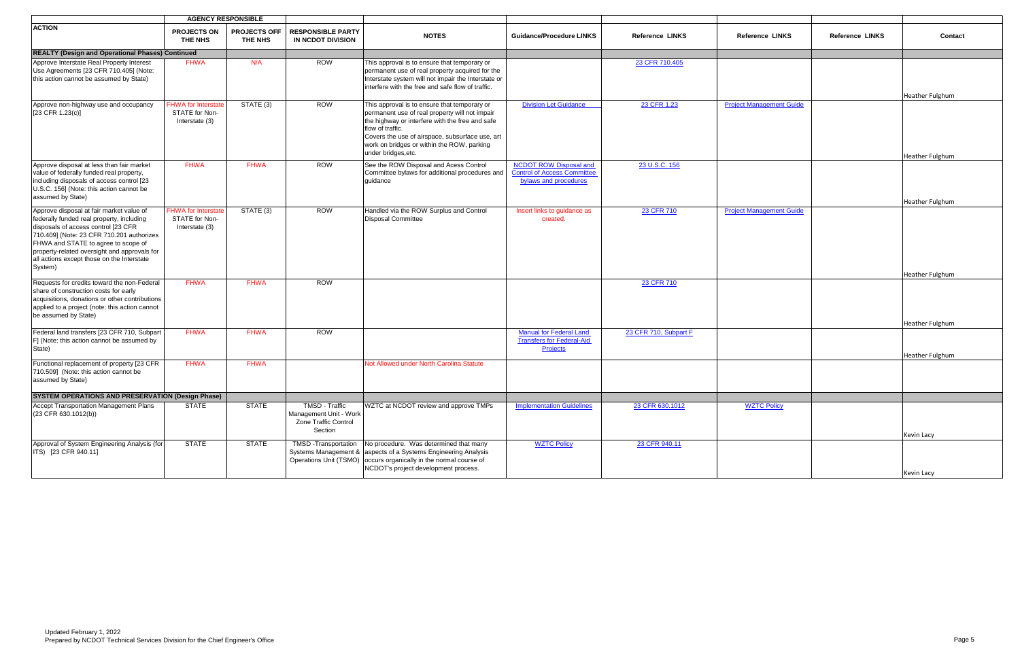|                                                                                                                                                                                                                                                                                                                           | <b>AGENCY RESPONSIBLE</b>                                      |                                       |                                                                             |                                                                                                                                                                                                                                                                                               |                                                                                              |                        |                                 |                        |                        |
|---------------------------------------------------------------------------------------------------------------------------------------------------------------------------------------------------------------------------------------------------------------------------------------------------------------------------|----------------------------------------------------------------|---------------------------------------|-----------------------------------------------------------------------------|-----------------------------------------------------------------------------------------------------------------------------------------------------------------------------------------------------------------------------------------------------------------------------------------------|----------------------------------------------------------------------------------------------|------------------------|---------------------------------|------------------------|------------------------|
| <b>ACTION</b>                                                                                                                                                                                                                                                                                                             | <b>PROJECTS ON</b><br>THE NHS                                  | <b>PROJECTS OFF</b><br><b>THE NHS</b> | <b>RESPONSIBLE PARTY</b><br><b>IN NCDOT DIVISION</b>                        | <b>NOTES</b>                                                                                                                                                                                                                                                                                  | <b>Guidance/Procedure LINKS</b>                                                              | <b>Reference LINKS</b> | <b>Reference LINKS</b>          | <b>Reference LINKS</b> | Contact                |
| <b>REALTY (Design and Operational Phases) Continued</b>                                                                                                                                                                                                                                                                   |                                                                |                                       |                                                                             |                                                                                                                                                                                                                                                                                               |                                                                                              |                        |                                 |                        |                        |
| Approve Interstate Real Property Interest<br>Use Agreements [23 CFR 710.405] (Note:<br>this action cannot be assumed by State)                                                                                                                                                                                            | <b>FHWA</b>                                                    | N/A                                   | <b>ROW</b>                                                                  | This approval is to ensure that temporary or<br>permanent use of real property acquired for the<br>Interstate system will not impair the Interstate or<br>interfere with the free and safe flow of traffic.                                                                                   |                                                                                              | 23 CFR 710.405         |                                 |                        | <b>Heather Fulghum</b> |
| Approve non-highway use and occupancy<br>$[23$ CFR 1.23(c)]                                                                                                                                                                                                                                                               | <b>FHWA for Interstate</b><br>STATE for Non-<br>Interstate (3) | STATE (3)                             | <b>ROW</b>                                                                  | This approval is to ensure that temporary or<br>permanent use of real property will not impair<br>the highway or interfere with the free and safe<br>flow of traffic.<br>Covers the use of airspace, subsurface use, art<br>work on bridges or within the ROW, parking<br>under bridges, etc. | <b>Division Let Guidance</b>                                                                 | 23 CFR 1.23            | <b>Project Management Guide</b> |                        | Heather Fulghum        |
| Approve disposal at less than fair market<br>value of federally funded real property,<br>including disposals of access control [23<br>U.S.C. 156] (Note: this action cannot be<br>assumed by State)                                                                                                                       | <b>FHWA</b>                                                    | <b>FHWA</b>                           | <b>ROW</b>                                                                  | See the ROW Disposal and Acess Control<br>Committee bylaws for additional procedures and<br>quidance                                                                                                                                                                                          | <b>NCDOT ROW Disposal and</b><br><b>Control of Access Committee</b><br>bylaws and procedures | 23 U.S.C. 156          |                                 |                        | Heather Fulghum        |
| Approve disposal at fair market value of<br>federally funded real property, including<br>disposals of access control [23 CFR<br>710.409] (Note: 23 CFR 710.201 authorizes<br>FHWA and STATE to agree to scope of<br>property-related oversight and approvals for<br>all actions except those on the Interstate<br>System) | <b>FHWA for Interstate</b><br>STATE for Non-<br>Interstate (3) | STATE(3)                              | ROW                                                                         | Handled via the ROW Surplus and Control<br><b>Disposal Committee</b>                                                                                                                                                                                                                          | Insert links to guidance as<br>created.                                                      | 23 CFR 710             | <b>Project Management Guide</b> |                        | Heather Fulghum        |
| Requests for credits toward the non-Federal<br>share of construction costs for early<br>acquisitions, donations or other contributions<br>applied to a project (note: this action cannot<br>be assumed by State)                                                                                                          | <b>FHWA</b>                                                    | <b>FHWA</b>                           | <b>ROW</b>                                                                  |                                                                                                                                                                                                                                                                                               |                                                                                              | 23 CFR 710             |                                 |                        | Heather Fulghum        |
| Federal land transfers [23 CFR 710, Subpart<br>F] (Note: this action cannot be assumed by<br>State)                                                                                                                                                                                                                       | <b>FHWA</b>                                                    | <b>FHWA</b>                           | <b>ROW</b>                                                                  |                                                                                                                                                                                                                                                                                               | <b>Manual for Federal Land</b><br><b>Transfers for Federal-Aid</b><br>Projects               | 23 CFR 710, Subpart F  |                                 |                        | <b>Heather Fulghum</b> |
| Functional replacement of property [23 CFR<br>710.509] (Note: this action cannot be<br>assumed by State)                                                                                                                                                                                                                  | <b>FHWA</b>                                                    | <b>FHWA</b>                           |                                                                             | Not Allowed under North Carolina Statute                                                                                                                                                                                                                                                      |                                                                                              |                        |                                 |                        |                        |
| SYSTEM OPERATIONS AND PRESERVATION (Design Phase)                                                                                                                                                                                                                                                                         |                                                                |                                       |                                                                             |                                                                                                                                                                                                                                                                                               |                                                                                              |                        |                                 |                        |                        |
| Accept Transportation Management Plans<br>$(23$ CFR 630.1012(b))                                                                                                                                                                                                                                                          | <b>STATE</b>                                                   | <b>STATE</b>                          | TMSD - Traffic<br>Management Unit - Work<br>Zone Traffic Control<br>Section | WZTC at NCDOT review and approve TMPs                                                                                                                                                                                                                                                         | <b>Implementation Guidelines</b>                                                             | 23 CFR 630.1012        | <b>WZTC Policy</b>              |                        | Kevin Lacy             |
| Approval of System Engineering Analysis (for<br>ITS) [23 CFR 940.11]                                                                                                                                                                                                                                                      | <b>STATE</b>                                                   | <b>STATE</b>                          | <b>TMSD</b> - Transportation<br>Operations Unit (TSMO)                      | No procedure. Was determined that many<br>Systems Management & aspects of a Systems Engineering Analysis<br>occurs organically in the normal course of<br>NCDOT's project development process.                                                                                                | <b>WZTC Policy</b>                                                                           | 23 CFR 940.11          |                                 |                        | Kevin Lacy             |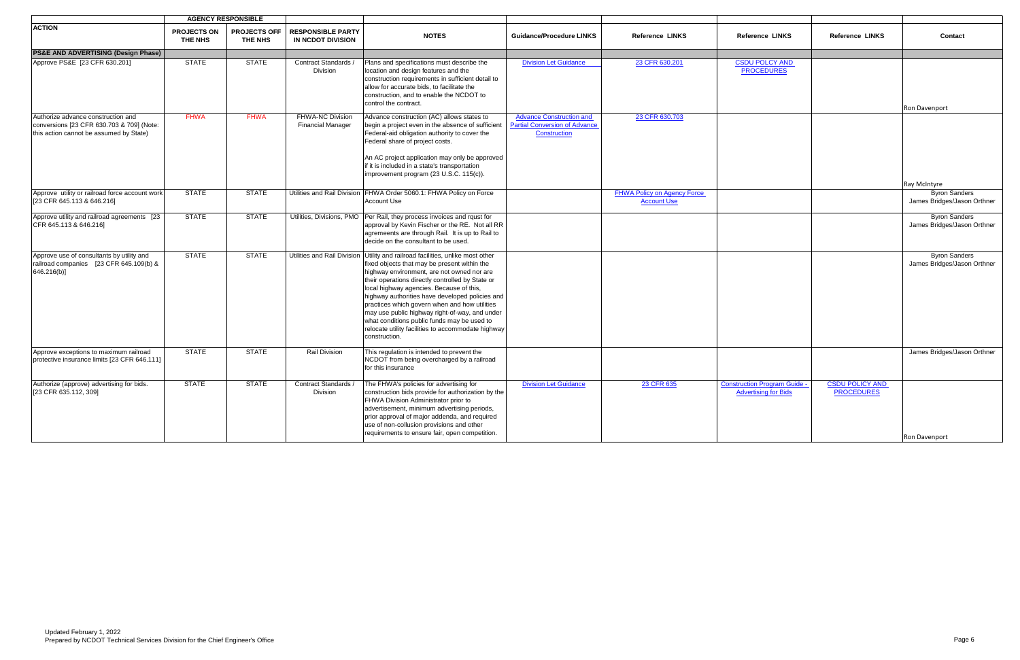|                                                                                                     |                               | <b>AGENCY RESPONSIBLE</b>      |                                               |                                                                                                                                                                                                                                                                                                                                                                                                                                                                                                                                                          |                                                      |                                                          |                                                                    |                                             |                                                     |
|-----------------------------------------------------------------------------------------------------|-------------------------------|--------------------------------|-----------------------------------------------|----------------------------------------------------------------------------------------------------------------------------------------------------------------------------------------------------------------------------------------------------------------------------------------------------------------------------------------------------------------------------------------------------------------------------------------------------------------------------------------------------------------------------------------------------------|------------------------------------------------------|----------------------------------------------------------|--------------------------------------------------------------------|---------------------------------------------|-----------------------------------------------------|
| <b>ACTION</b>                                                                                       | <b>PROJECTS ON</b><br>THE NHS | <b>PROJECTS OFF</b><br>THE NHS | <b>RESPONSIBLE PARTY</b><br>IN NCDOT DIVISION | <b>NOTES</b>                                                                                                                                                                                                                                                                                                                                                                                                                                                                                                                                             | <b>Guidance/Procedure LINKS</b>                      | <b>Reference LINKS</b>                                   | <b>Reference LINKS</b>                                             | <b>Reference LINKS</b>                      | Contact                                             |
| <b>PS&amp;E AND ADVERTISING (Design Phase)</b>                                                      |                               |                                |                                               |                                                                                                                                                                                                                                                                                                                                                                                                                                                                                                                                                          |                                                      |                                                          |                                                                    |                                             |                                                     |
| Approve PS&E [23 CFR 630.201]                                                                       | <b>STATE</b>                  | <b>STATE</b>                   | Contract Standards /<br>Division              | Plans and specifications must describe the<br>location and design features and the<br>construction requirements in sufficient detail to<br>allow for accurate bids, to facilitate the<br>construction, and to enable the NCDOT to<br>control the contract.                                                                                                                                                                                                                                                                                               | <b>Division Let Guidance</b>                         | 23 CFR 630.201                                           | <b>CSDU POLCY AND</b><br><b>PROCEDURES</b>                         |                                             | Ron Davenport                                       |
| Authorize advance construction and                                                                  | <b>FHWA</b>                   | <b>FHWA</b>                    | <b>FHWA-NC Division</b>                       | Advance construction (AC) allows states to                                                                                                                                                                                                                                                                                                                                                                                                                                                                                                               | <b>Advance Construction and</b>                      | 23 CFR 630.703                                           |                                                                    |                                             |                                                     |
| conversions [23 CFR 630.703 & 709] (Note:<br>this action cannot be assumed by State)                |                               |                                | <b>Financial Manager</b>                      | begin a project even in the absence of sufficient<br>Federal-aid obligation authority to cover the<br>Federal share of project costs.                                                                                                                                                                                                                                                                                                                                                                                                                    | <b>Partial Conversion of Advance</b><br>Construction |                                                          |                                                                    |                                             |                                                     |
|                                                                                                     |                               |                                |                                               | An AC project application may only be approved<br>if it is included in a state's transportation<br>improvement program (23 U.S.C. 115(c)).                                                                                                                                                                                                                                                                                                                                                                                                               |                                                      |                                                          |                                                                    |                                             |                                                     |
|                                                                                                     |                               |                                |                                               |                                                                                                                                                                                                                                                                                                                                                                                                                                                                                                                                                          |                                                      |                                                          |                                                                    |                                             | Ray McIntyre                                        |
| Approve utility or railroad force account work<br>[23 CFR 645.113 & 646.216]                        | <b>STATE</b>                  | <b>STATE</b>                   |                                               | Utilities and Rail Division FHWA Order 5060.1: FHWA Policy on Force<br><b>Account Use</b>                                                                                                                                                                                                                                                                                                                                                                                                                                                                |                                                      | <b>FHWA Policy on Agency Force</b><br><b>Account Use</b> |                                                                    |                                             | <b>Byron Sanders</b><br>James Bridges/Jason Orthner |
| Approve utility and railroad agreements [23]<br>CFR 645.113 & 646.216]                              | <b>STATE</b>                  | <b>STATE</b>                   |                                               | Utilities, Divisions, PMO   Per Rail, they process invoices and rqust for<br>approval by Kevin Fischer or the RE. Not all RR<br>agremeents are through Rail. It is up to Rail to<br>decide on the consultant to be used.                                                                                                                                                                                                                                                                                                                                 |                                                      |                                                          |                                                                    |                                             | <b>Byron Sanders</b><br>James Bridges/Jason Orthner |
| Approve use of consultants by utility and<br>railroad companies [23 CFR 645.109(b) &<br>646.216(b)] | <b>STATE</b>                  | <b>STATE</b>                   |                                               | Utilities and Rail Division Utility and railroad facilities, unlike most other<br>fixed objects that may be present within the<br>highway environment, are not owned nor are<br>their operations directly controlled by State or<br>local highway agencies. Because of this,<br>highway authorities have developed policies and<br>practices which govern when and how utilities<br>may use public highway right-of-way, and under<br>what conditions public funds may be used to<br>relocate utility facilities to accommodate highway<br>construction. |                                                      |                                                          |                                                                    |                                             | <b>Byron Sanders</b><br>James Bridges/Jason Orthner |
| Approve exceptions to maximum railroad<br>protective insurance limits [23 CFR 646.111]              | <b>STATE</b>                  | <b>STATE</b>                   | <b>Rail Division</b>                          | This regulation is intended to prevent the<br>NCDOT from being overcharged by a railroad<br>for this insurance                                                                                                                                                                                                                                                                                                                                                                                                                                           |                                                      |                                                          |                                                                    |                                             | James Bridges/Jason Orthner                         |
| Authorize (approve) advertising for bids.<br>[23 CFR 635.112, 309]                                  | <b>STATE</b>                  | <b>STATE</b>                   | Contract Standards /<br>Division              | The FHWA's policies for advertising for<br>construction bids provide for authorization by the<br>FHWA Division Administrator prior to<br>advertisement, minimum advertising periods,<br>prior approval of major addenda, and required<br>use of non-collusion provisions and other<br>requirements to ensure fair, open competition.                                                                                                                                                                                                                     | <b>Division Let Guidance</b>                         | 23 CFR 635                                               | <b>Construction Program Guide -</b><br><b>Advertising for Bids</b> | <b>CSDU POLICY AND</b><br><b>PROCEDURES</b> | <b>Ron Davenport</b>                                |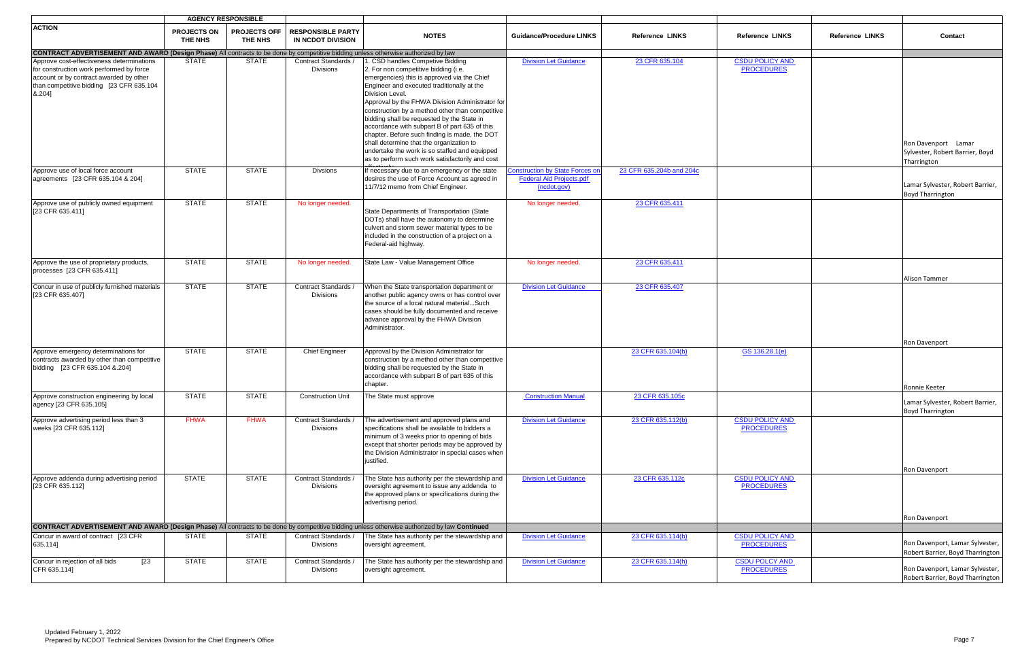|                                                                                                                                                                                        |                               | <b>AGENCY RESPONSIBLE</b>      |                                               |                                                                                                                                                                                                                                                                                                                                                                                                                                                                                                                                                                                               |                                                                                          |                          |                                             |                        |                                                                       |
|----------------------------------------------------------------------------------------------------------------------------------------------------------------------------------------|-------------------------------|--------------------------------|-----------------------------------------------|-----------------------------------------------------------------------------------------------------------------------------------------------------------------------------------------------------------------------------------------------------------------------------------------------------------------------------------------------------------------------------------------------------------------------------------------------------------------------------------------------------------------------------------------------------------------------------------------------|------------------------------------------------------------------------------------------|--------------------------|---------------------------------------------|------------------------|-----------------------------------------------------------------------|
| <b>ACTION</b>                                                                                                                                                                          | <b>PROJECTS ON</b><br>THE NHS | <b>PROJECTS OFF</b><br>THE NHS | <b>RESPONSIBLE PARTY</b><br>IN NCDOT DIVISION | <b>NOTES</b>                                                                                                                                                                                                                                                                                                                                                                                                                                                                                                                                                                                  | <b>Guidance/Procedure LINKS</b>                                                          | <b>Reference LINKS</b>   | <b>Reference LINKS</b>                      | <b>Reference LINKS</b> | Contact                                                               |
| <b>CONTRACT ADVERTISEMENT AND AWARD (Design Phase)</b> All contracts to be done by competitive bidding unless otherwise authorized by law                                              |                               |                                |                                               |                                                                                                                                                                                                                                                                                                                                                                                                                                                                                                                                                                                               |                                                                                          |                          |                                             |                        |                                                                       |
| Approve cost-effectiveness determinations<br>for construction work performed by force<br>account or by contract awarded by other<br>than competitive bidding [23 CFR 635.104<br>8.204] | <b>STATE</b>                  | <b>STATE</b>                   | Contract Standards /<br><b>Divisions</b>      | . CSD handles Competive Bidding<br>2. For non competitive bidding (i.e.<br>emergencies) this is approved via the Chief<br>Engineer and executed traditionally at the<br>Division Level.<br>Approval by the FHWA Division Administrator for<br>construction by a method other than competitive<br>bidding shall be requested by the State in<br>accordance with subpart B of part 635 of this<br>chapter. Before such finding is made, the DOT<br>shall determine that the organization to<br>undertake the work is so staffed and equipped<br>as to perform such work satisfactorily and cost | <b>Division Let Guidance</b>                                                             | 23 CFR 635.104           | <b>CSDU POLICY AND</b><br><b>PROCEDURES</b> |                        | Ron Davenport Lamar<br>Sylvester, Robert Barrier, Boyd<br>Tharrington |
| Approve use of local force account<br>agreements [23 CFR 635.104 & 204]                                                                                                                | <b>STATE</b>                  | <b>STATE</b>                   | <b>Divsions</b>                               | If necessary due to an emergency or the state<br>desires the use of Force Account as agreed in<br>11/7/12 memo from Chief Engineer.                                                                                                                                                                                                                                                                                                                                                                                                                                                           | <b>Construction by State Forces on</b><br><b>Federal Aid Projects.pdf</b><br>(ncdot.gov) | 23 CFR 635.204b and 204c |                                             |                        | Lamar Sylvester, Robert Barrier,<br><b>Boyd Tharrington</b>           |
| Approve use of publicly owned equipment<br>[23 CFR 635.411]                                                                                                                            | <b>STATE</b>                  | <b>STATE</b>                   | No longer needed.                             | State Departments of Transportation (State<br>DOTs) shall have the autonomy to determine<br>culvert and storm sewer material types to be<br>included in the construction of a project on a<br>Federal-aid highway.                                                                                                                                                                                                                                                                                                                                                                            | No longer needed.                                                                        | 23 CFR 635.411           |                                             |                        |                                                                       |
| Approve the use of proprietary products,<br>processes [23 CFR 635.411]                                                                                                                 | <b>STATE</b>                  | <b>STATE</b>                   | No longer needed.                             | State Law - Value Management Office                                                                                                                                                                                                                                                                                                                                                                                                                                                                                                                                                           | No longer needed.                                                                        | 23 CFR 635.411           |                                             |                        | Alison Tammer                                                         |
| Concur in use of publicly furnished materials<br>[23 CFR 635.407]                                                                                                                      | <b>STATE</b>                  | <b>STATE</b>                   | Contract Standards /<br><b>Divisions</b>      | When the State transportation department or<br>another public agency owns or has control over<br>the source of a local natural materialSuch<br>cases should be fully documented and receive<br>advance approval by the FHWA Division<br>Administrator.                                                                                                                                                                                                                                                                                                                                        | <b>Division Let Guidance</b>                                                             | 23 CFR 635.407           |                                             |                        |                                                                       |
|                                                                                                                                                                                        |                               |                                |                                               |                                                                                                                                                                                                                                                                                                                                                                                                                                                                                                                                                                                               |                                                                                          |                          |                                             |                        | Ron Davenport                                                         |
| Approve emergency determinations for<br>contracts awarded by other than competitive<br>bidding [23 CFR 635.104 & 204]                                                                  | <b>STATE</b>                  | <b>STATE</b>                   | <b>Chief Engineer</b>                         | Approval by the Division Administrator for<br>construction by a method other than competitive<br>bidding shall be requested by the State in<br>accordance with subpart B of part 635 of this<br>chapter.                                                                                                                                                                                                                                                                                                                                                                                      |                                                                                          | 23 CFR 635.104(b)        | GS 136.28.1(e)                              |                        | Ronnie Keeter                                                         |
| Approve construction engineering by local<br>agency [23 CFR 635.105]                                                                                                                   | <b>STATE</b>                  | <b>STATE</b>                   | <b>Construction Unit</b>                      | The State must approve                                                                                                                                                                                                                                                                                                                                                                                                                                                                                                                                                                        | <b>Construction Manual</b>                                                               | 23 CFR 635.105c          |                                             |                        | Lamar Sylvester, Robert Barrier,<br><b>Boyd Tharrington</b>           |
| Approve advertising period less than 3<br>weeks [23 CFR 635.112]                                                                                                                       | <b>FHWA</b>                   | <b>FHWA</b>                    | Contract Standards /<br><b>Divisions</b>      | The advertisement and approved plans and<br>specifications shall be available to bidders a<br>minimum of 3 weeks prior to opening of bids<br>except that shorter periods may be approved by<br>the Division Administrator in special cases when<br>justified.                                                                                                                                                                                                                                                                                                                                 | <b>Division Let Guidance</b>                                                             | 23 CFR 635.112(b)        | <b>CSDU POLICY AND</b><br><b>PROCEDURES</b> |                        | Ron Davenport                                                         |
| Approve addenda during advertising period<br>[23 CFR 635.112]                                                                                                                          | <b>STATE</b>                  | <b>STATE</b>                   | Contract Standards /<br><b>Divisions</b>      | The State has authority per the stewardship and<br>oversight agreement to issue any addenda to<br>the approved plans or specifications during the<br>advertising period.                                                                                                                                                                                                                                                                                                                                                                                                                      | <b>Division Let Guidance</b>                                                             | 23 CFR 635.112c          | <b>CSDU POLICY AND</b><br><b>PROCEDURES</b> |                        | Ron Davenport                                                         |
| <b>CONTRACT ADVERTISEMENT AND AWARD (Design Phase)</b> All contracts to be done by competitive bidding unless otherwise authorized by law Continued                                    |                               |                                |                                               |                                                                                                                                                                                                                                                                                                                                                                                                                                                                                                                                                                                               |                                                                                          |                          |                                             |                        |                                                                       |
| Concur in award of contract [23 CFR<br>635.114]                                                                                                                                        | <b>STATE</b>                  | <b>STATE</b>                   | Contract Standards /<br><b>Divisions</b>      | The State has authority per the stewardship and<br>oversight agreement.                                                                                                                                                                                                                                                                                                                                                                                                                                                                                                                       | <b>Division Let Guidance</b>                                                             | 23 CFR 635.114(b)        | <b>CSDU POLICY AND</b><br><b>PROCEDURES</b> |                        | Ron Davenport, Lamar Sylvester,<br>Robert Barrier, Boyd Tharrington   |
| $\sqrt{23}$<br>Concur in rejection of all bids<br>CFR 635.114]                                                                                                                         | <b>STATE</b>                  | <b>STATE</b>                   | Contract Standards /<br><b>Divisions</b>      | The State has authority per the stewardship and<br>oversight agreement.                                                                                                                                                                                                                                                                                                                                                                                                                                                                                                                       | <b>Division Let Guidance</b>                                                             | 23 CFR 635.114(h)        | <b>CSDU POLCY AND</b><br><b>PROCEDURES</b>  |                        | Ron Davenport, Lamar Sylvester,<br>Robert Barrier, Boyd Tharrington   |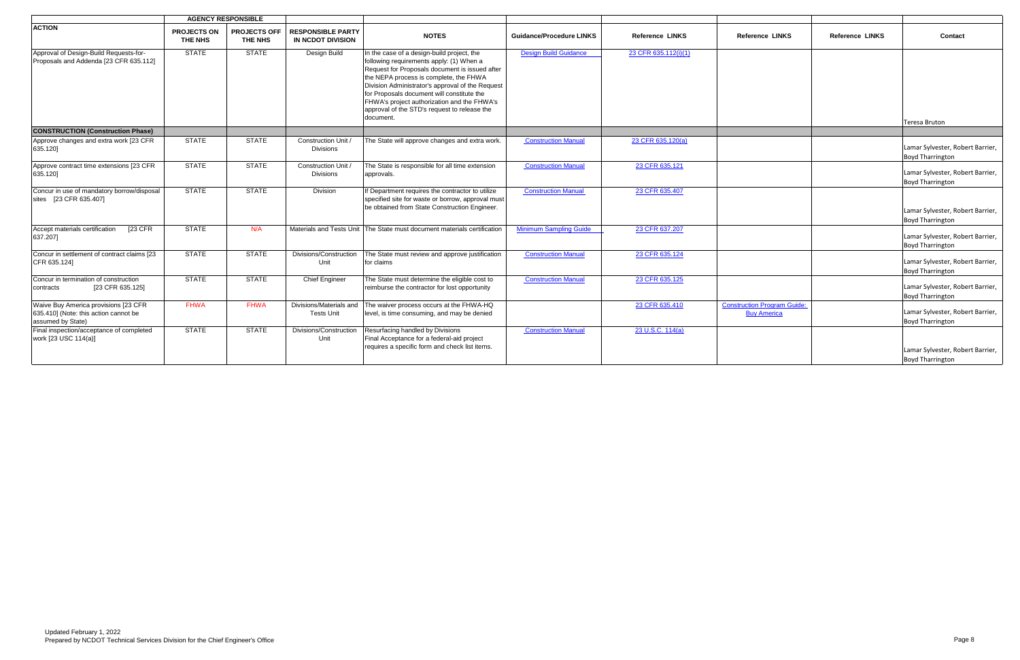|                                                                                                    |                               | <b>AGENCY RESPONSIBLE</b>             |                                               |                                                                                                                                                                                                                                                                                                                                                                                                  |                                 |                        |                                                          |                        |                                                             |
|----------------------------------------------------------------------------------------------------|-------------------------------|---------------------------------------|-----------------------------------------------|--------------------------------------------------------------------------------------------------------------------------------------------------------------------------------------------------------------------------------------------------------------------------------------------------------------------------------------------------------------------------------------------------|---------------------------------|------------------------|----------------------------------------------------------|------------------------|-------------------------------------------------------------|
| <b>ACTION</b>                                                                                      | <b>PROJECTS ON</b><br>THE NHS | <b>PROJECTS OFF</b><br><b>THE NHS</b> | <b>RESPONSIBLE PARTY</b><br>IN NCDOT DIVISION | <b>NOTES</b>                                                                                                                                                                                                                                                                                                                                                                                     | <b>Guidance/Procedure LINKS</b> | <b>Reference LINKS</b> | <b>Reference LINKS</b>                                   | <b>Reference LINKS</b> | Contact                                                     |
| Approval of Design-Build Requests-for-<br>Proposals and Addenda [23 CFR 635.112]                   | <b>STATE</b>                  | <b>STATE</b>                          | Design Build                                  | In the case of a design-build project, the<br>following requirements apply: (1) When a<br>Request for Proposals document is issued after<br>the NEPA process is complete, the FHWA<br>Division Administrator's approval of the Request<br>for Proposals document will constitute the<br>FHWA's project authorization and the FHWA's<br>approval of the STD's request to release the<br>document. | <b>Design Build Guidance</b>    | 23 CFR 635.112(i)(1)   |                                                          |                        | <b>Teresa Bruton</b>                                        |
| <b>CONSTRUCTION (Construction Phase)</b>                                                           |                               |                                       |                                               |                                                                                                                                                                                                                                                                                                                                                                                                  |                                 |                        |                                                          |                        |                                                             |
| Approve changes and extra work [23 CFR]<br>635.120]                                                | <b>STATE</b>                  | <b>STATE</b>                          | Construction Unit /<br><b>Divisions</b>       | The State will approve changes and extra work.                                                                                                                                                                                                                                                                                                                                                   | <b>Construction Manual</b>      | 23 CFR 635.120(a)      |                                                          |                        | Lamar Sylvester, Robert Barrier,<br><b>Boyd Tharrington</b> |
| Approve contract time extensions [23 CFR<br>635.120]                                               | <b>STATE</b>                  | <b>STATE</b>                          | Construction Unit<br><b>Divisions</b>         | The State is responsible for all time extension<br>approvals.                                                                                                                                                                                                                                                                                                                                    | <b>Construction Manual</b>      | 23 CFR 635.121         |                                                          |                        | Lamar Sylvester, Robert Barrier,<br><b>Boyd Tharrington</b> |
| Concur in use of mandatory borrow/disposal<br>sites [23 CFR 635.407]                               | <b>STATE</b>                  | <b>STATE</b>                          | Division                                      | If Department requires the contractor to utilize<br>specified site for waste or borrow, approval must<br>be obtained from State Construction Engineer.                                                                                                                                                                                                                                           | <b>Construction Manual</b>      | 23 CFR 635.407         |                                                          |                        | Lamar Sylvester, Robert Barrier,<br><b>Boyd Tharrington</b> |
| Accept materials certification<br>$[23$ CFR<br>637.207]                                            | <b>STATE</b>                  | N/A                                   |                                               | Materials and Tests Unit The State must document materials certification                                                                                                                                                                                                                                                                                                                         | <b>Minimum Sampling Guide</b>   | 23 CFR 637.207         |                                                          |                        | Lamar Sylvester, Robert Barrier,<br><b>Boyd Tharrington</b> |
| Concur in settlement of contract claims [23<br>CFR 635.124]                                        | <b>STATE</b>                  | <b>STATE</b>                          | Divisions/Construction<br>Unit                | The State must review and approve justification<br>for claims                                                                                                                                                                                                                                                                                                                                    | <b>Construction Manual</b>      | 23 CFR 635.124         |                                                          |                        | Lamar Sylvester, Robert Barrier,<br><b>Boyd Tharrington</b> |
| Concur in termination of construction<br>[23 CFR 635.125]<br>contracts                             | <b>STATE</b>                  | <b>STATE</b>                          | <b>Chief Engineer</b>                         | The State must determine the eligible cost to<br>reimburse the contractor for lost opportunity                                                                                                                                                                                                                                                                                                   | <b>Construction Manual</b>      | 23 CFR 635.125         |                                                          |                        | Lamar Sylvester, Robert Barrier,<br><b>Boyd Tharrington</b> |
| Waive Buy America provisions [23 CFR<br>635.410] (Note: this action cannot be<br>assumed by State) | <b>FHWA</b>                   | <b>FHWA</b>                           | Divisions/Materials and<br><b>Tests Unit</b>  | The waiver process occurs at the FHWA-HQ<br>level, is time consuming, and may be denied                                                                                                                                                                                                                                                                                                          |                                 | 23 CFR 635.410         | <b>Construction Program Guide:</b><br><b>Buy America</b> |                        | Lamar Sylvester, Robert Barrier,<br><b>Boyd Tharrington</b> |
| Final inspection/acceptance of completed<br>work [23 USC 114(a)]                                   | <b>STATE</b>                  | <b>STATE</b>                          | Divisions/Construction<br>Unit                | Resurfacing handled by Divisions<br>Final Acceptance for a federal-aid project<br>requires a specific form and check list items.                                                                                                                                                                                                                                                                 | <b>Construction Manual</b>      | 23 U.S.C. 114(a)       |                                                          |                        | Lamar Sylvester, Robert Barrier,<br><b>Boyd Tharrington</b> |